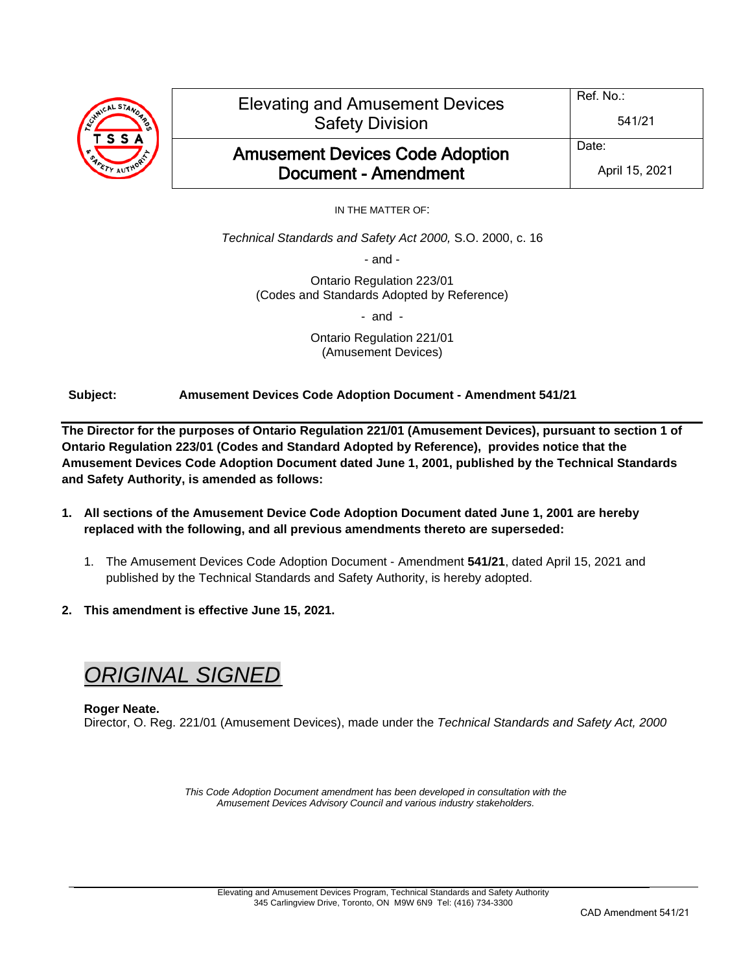

IN THE MATTER OF:

*Technical Standards and Safety Act 2000,* S.O. 2000, c. 16

- and -

Ontario Regulation 223/01 (Codes and Standards Adopted by Reference)

- and -

Ontario Regulation 221/01 (Amusement Devices)

**Subject: Amusement Devices Code Adoption Document - Amendment 541/21**

**The Director for the purposes of Ontario Regulation 221/01 (Amusement Devices), pursuant to section 1 of Ontario Regulation 223/01 (Codes and Standard Adopted by Reference), provides notice that the Amusement Devices Code Adoption Document dated June 1, 2001, published by the Technical Standards and Safety Authority, is amended as follows:**

- **1. All sections of the Amusement Device Code Adoption Document dated June 1, 2001 are hereby replaced with the following, and all previous amendments thereto are superseded:**
	- 1. The Amusement Devices Code Adoption Document Amendment **541/21**, dated April 15, 2021 and published by the Technical Standards and Safety Authority, is hereby adopted.
- **2. This amendment is effective June 15, 2021.**

# *ORIGINAL SIGNED*

# **Roger Neate.** Director, O. Reg. 221/01 (Amusement Devices), made under the *Technical Standards and Safety Act, 2000*

*This Code Adoption Document amendment has been developed in consultation with the Amusement Devices Advisory Council and various industry stakeholders.*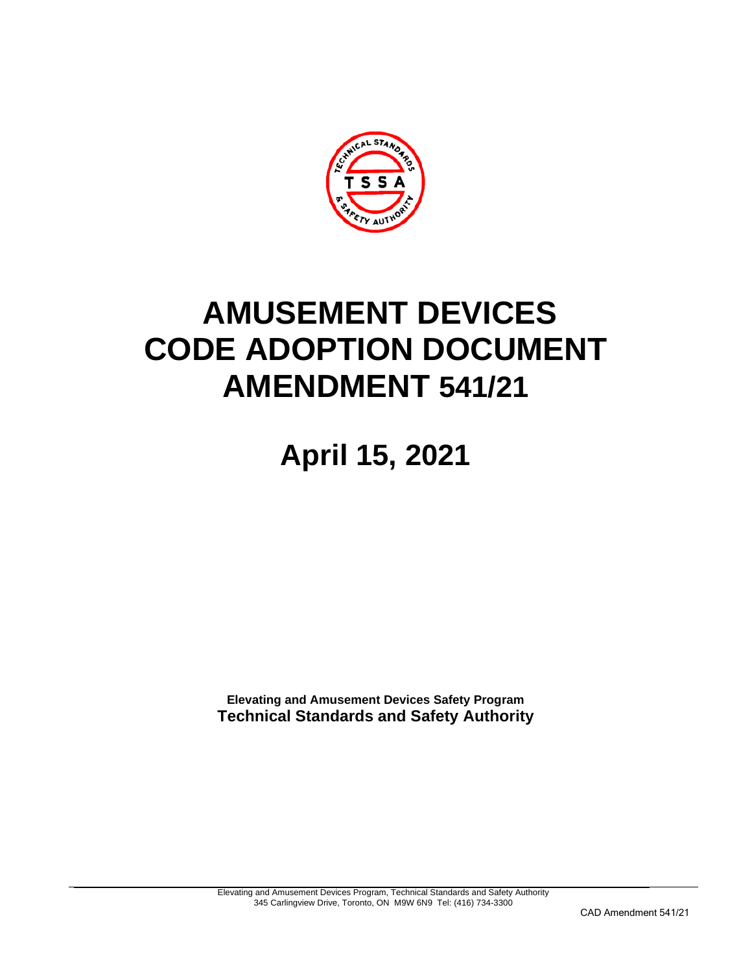

# **AMUSEMENT DEVICES CODE ADOPTION DOCUMENT AMENDMENT 541/21**

**April 15, 2021**

**Elevating and Amusement Devices Safety Program Technical Standards and Safety Authority**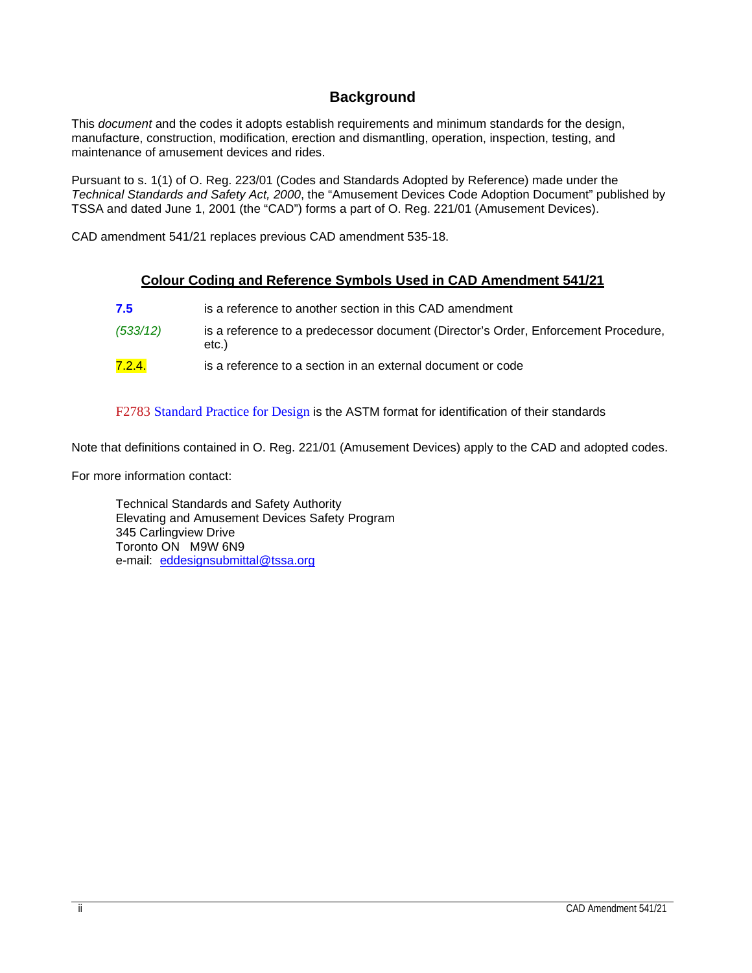# **Background**

This *document* and the codes it adopts establish requirements and minimum standards for the design, manufacture, construction, modification, erection and dismantling, operation, inspection, testing, and maintenance of amusement devices and rides.

Pursuant to s. 1(1) of O. Reg. 223/01 (Codes and Standards Adopted by Reference) made under the *Technical Standards and Safety Act, 2000*, the "Amusement Devices Code Adoption Document" published by TSSA and dated June 1, 2001 (the "CAD") forms a part of O. Reg. 221/01 (Amusement Devices).

CAD amendment 541/21 replaces previous CAD amendment 535-18.

# **Colour Coding and Reference Symbols Used in CAD Amendment 541/21**

| 7.5      | is a reference to another section in this CAD amendment                                     |
|----------|---------------------------------------------------------------------------------------------|
| (533/12) | is a reference to a predecessor document (Director's Order, Enforcement Procedure,<br>etc.) |
| 7.2.4.   | is a reference to a section in an external document or code                                 |

F2783 Standard Practice for Design is the ASTM format for identification of their standards

Note that definitions contained in O. Reg. 221/01 (Amusement Devices) apply to the CAD and adopted codes.

For more information contact:

Technical Standards and Safety Authority Elevating and Amusement Devices Safety Program 345 Carlingview Drive Toronto ON M9W 6N9 e-mail: [eddesignsubmittal@tssa.org](mailto:eddesignsubmittal@tssa.org)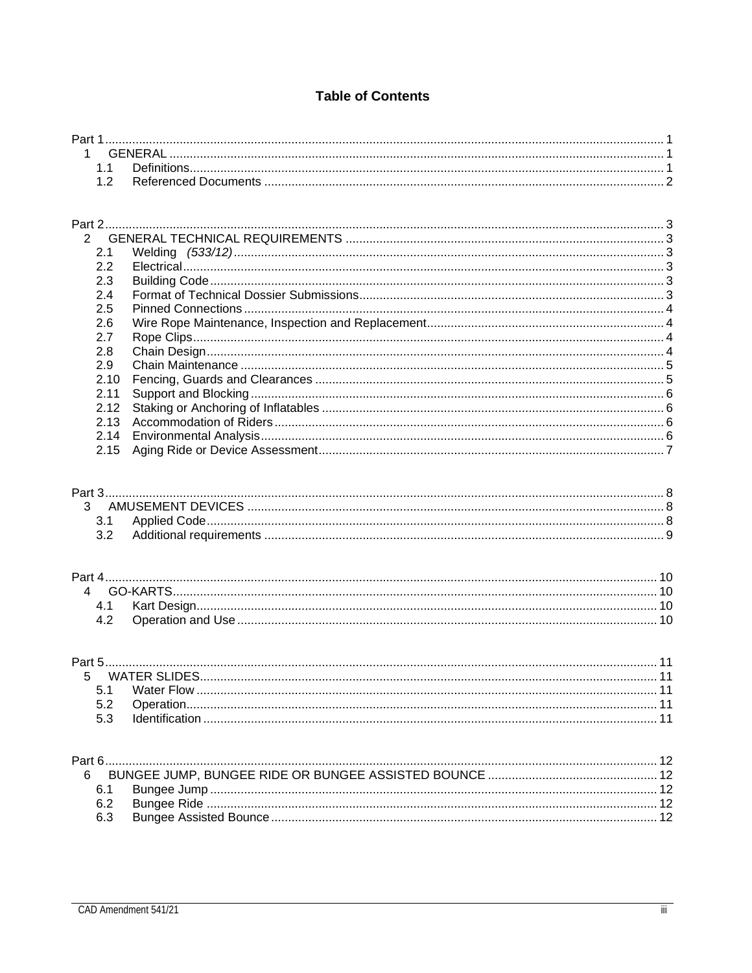# **Table of Contents**

| $\mathcal{P}$ |  |
|---------------|--|
| 2.1           |  |
| 2.2           |  |
| 2.3           |  |
| 2.4           |  |
| 2.5           |  |
| 2.6           |  |
| 2.7           |  |
| 2.8           |  |
| 2.9           |  |
| 2.10          |  |
| 2.11          |  |
| 2.12          |  |
| 2.13          |  |
|               |  |
| 2.15          |  |
|               |  |

| Part 4 |  |  |
|--------|--|--|
|        |  |  |
|        |  |  |
|        |  |  |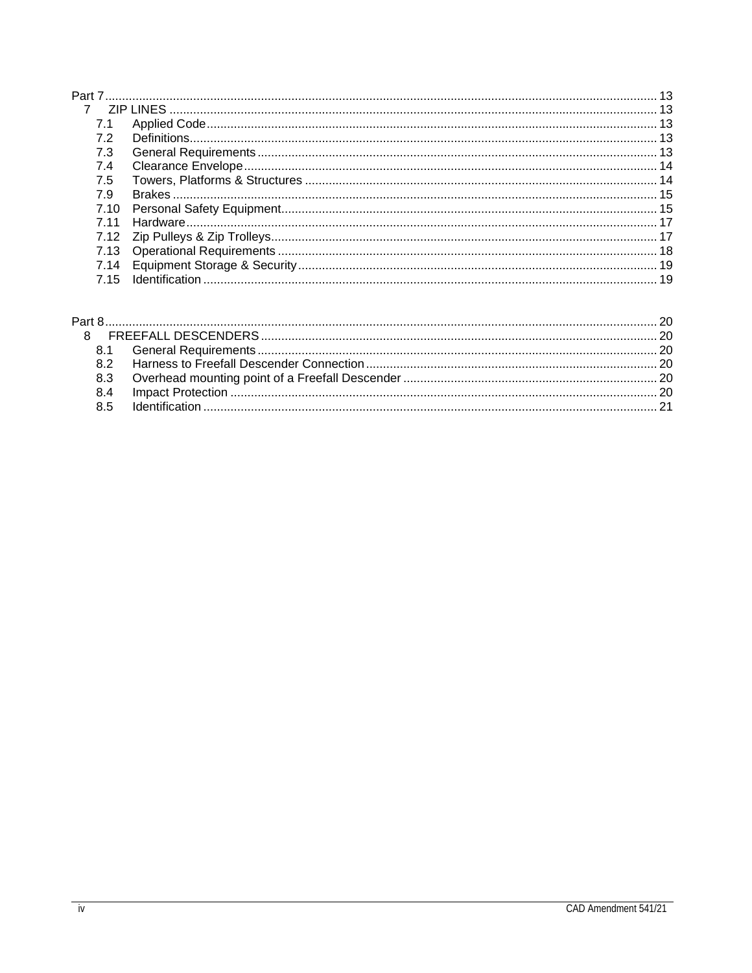| $\overline{7}$ |  |
|----------------|--|
|                |  |
|                |  |
| 7.3            |  |
| 7.4            |  |
| 7.5            |  |
| 7.9            |  |
| 7.10           |  |
| 7 11           |  |
|                |  |
|                |  |
|                |  |
|                |  |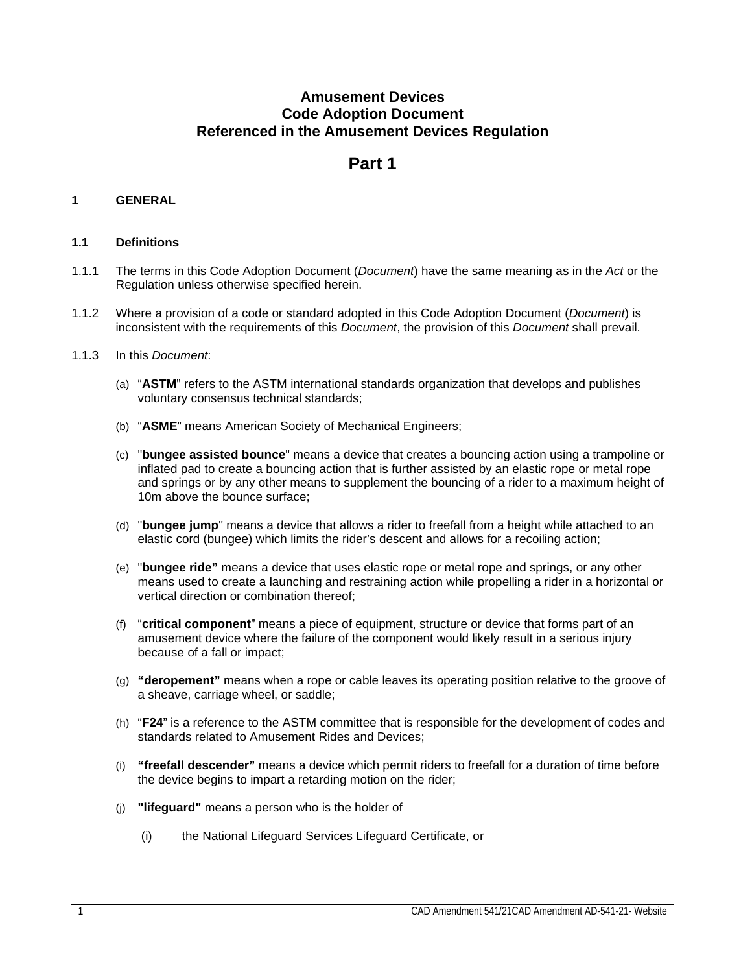# **Amusement Devices Code Adoption Document Referenced in the Amusement Devices Regulation**

# **Part 1**

# <span id="page-6-1"></span><span id="page-6-0"></span>**1 GENERAL**

# <span id="page-6-2"></span>**1.1 Definitions**

- 1.1.1 The terms in this Code Adoption Document (*Document*) have the same meaning as in the *Act* or the Regulation unless otherwise specified herein.
- 1.1.2 Where a provision of a code or standard adopted in this Code Adoption Document (*Document*) is inconsistent with the requirements of this *Document*, the provision of this *Document* shall prevail.
- 1.1.3 In this *Document*:
	- (a) "**ASTM**" refers to the ASTM international standards organization that develops and publishes voluntary consensus technical standards;
	- (b) "**ASME**" means American Society of Mechanical Engineers;
	- (c) "**bungee assisted bounce**" means a device that creates a bouncing action using a trampoline or inflated pad to create a bouncing action that is further assisted by an elastic rope or metal rope and springs or by any other means to supplement the bouncing of a rider to a maximum height of 10m above the bounce surface;
	- (d) "**bungee jump**" means a device that allows a rider to freefall from a height while attached to an elastic cord (bungee) which limits the rider's descent and allows for a recoiling action;
	- (e) "**bungee ride"** means a device that uses elastic rope or metal rope and springs, or any other means used to create a launching and restraining action while propelling a rider in a horizontal or vertical direction or combination thereof;
	- (f) "**critical component**" means a piece of equipment, structure or device that forms part of an amusement device where the failure of the component would likely result in a serious injury because of a fall or impact;
	- (g) **"deropement"** means when a rope or cable leaves its operating position relative to the groove of a sheave, carriage wheel, or saddle;
	- (h) "**F24**" is a reference to the ASTM committee that is responsible for the development of codes and standards related to Amusement Rides and Devices;
	- (i) **"freefall descender"** means a device which permit riders to freefall for a duration of time before the device begins to impart a retarding motion on the rider;
	- (j) **"lifeguard"** means a person who is the holder of
		- (i) the National Lifeguard Services Lifeguard Certificate, or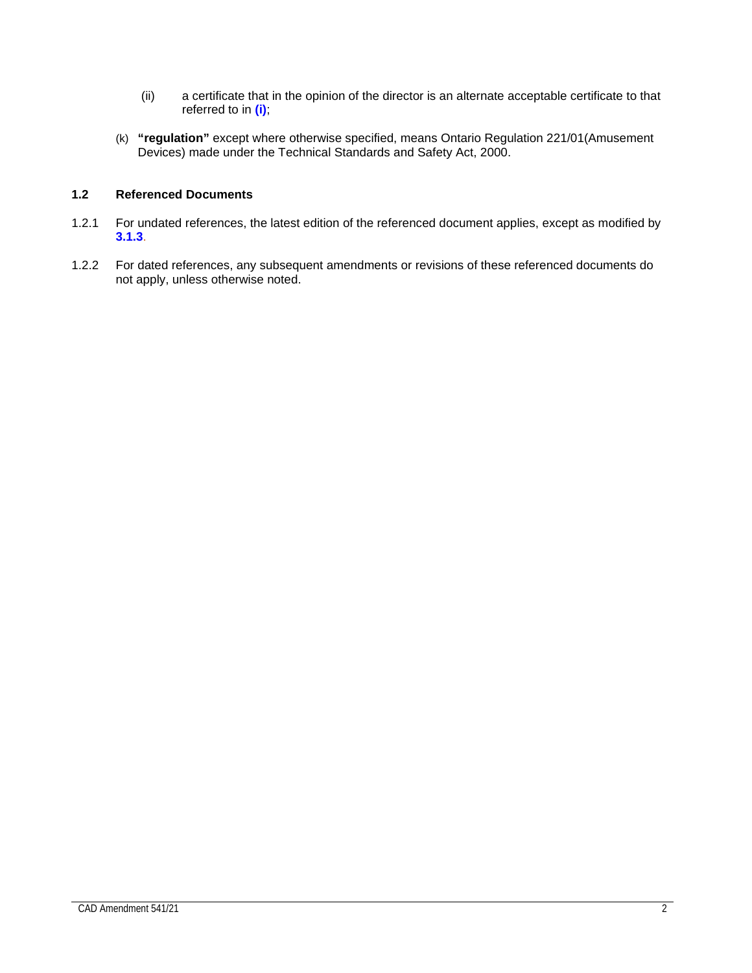- (ii) a certificate that in the opinion of the director is an alternate acceptable certificate to that referred to in **(i)**;
- (k) **"regulation"** except where otherwise specified, means Ontario Regulation 221/01(Amusement Devices) made under the Technical Standards and Safety Act, 2000.

# <span id="page-7-0"></span>**1.2 Referenced Documents**

- 1.2.1 For undated references, the latest edition of the referenced document applies, except as modified by **3.1.3**.
- 1.2.2 For dated references, any subsequent amendments or revisions of these referenced documents do not apply, unless otherwise noted.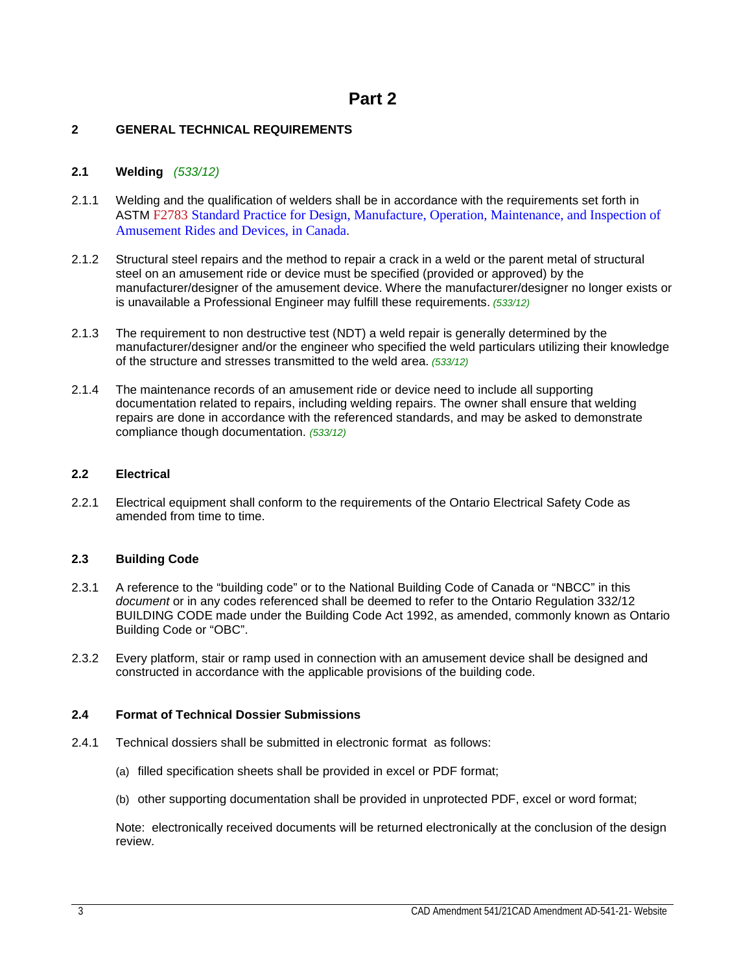# <span id="page-8-1"></span><span id="page-8-0"></span>**2 GENERAL TECHNICAL REQUIREMENTS**

# <span id="page-8-2"></span>**2.1 Welding** *(533/12)*

- 2.1.1 Welding and the qualification of welders shall be in accordance with the requirements set forth in ASTM F2783 Standard Practice for Design, Manufacture, Operation, Maintenance, and Inspection of Amusement Rides and Devices, in Canada.
- 2.1.2 Structural steel repairs and the method to repair a crack in a weld or the parent metal of structural steel on an amusement ride or device must be specified (provided or approved) by the manufacturer/designer of the amusement device. Where the manufacturer/designer no longer exists or is unavailable a Professional Engineer may fulfill these requirements. *(533/12)*
- 2.1.3 The requirement to non destructive test (NDT) a weld repair is generally determined by the manufacturer/designer and/or the engineer who specified the weld particulars utilizing their knowledge of the structure and stresses transmitted to the weld area. *(533/12)*
- 2.1.4 The maintenance records of an amusement ride or device need to include all supporting documentation related to repairs, including welding repairs. The owner shall ensure that welding repairs are done in accordance with the referenced standards, and may be asked to demonstrate compliance though documentation. *(533/12)*

# <span id="page-8-3"></span>**2.2 Electrical**

2.2.1 Electrical equipment shall conform to the requirements of the Ontario Electrical Safety Code as amended from time to time.

# <span id="page-8-4"></span>**2.3 Building Code**

- 2.3.1 A reference to the "building code" or to the National Building Code of Canada or "NBCC" in this *document* or in any codes referenced shall be deemed to refer to the Ontario Regulation 332/12 BUILDING CODE made under the Building Code Act 1992, as amended, commonly known as Ontario Building Code or "OBC".
- 2.3.2 Every platform, stair or ramp used in connection with an amusement device shall be designed and constructed in accordance with the applicable provisions of the building code.

# <span id="page-8-5"></span>**2.4 Format of Technical Dossier Submissions**

- 2.4.1 Technical dossiers shall be submitted in electronic format as follows:
	- (a) filled specification sheets shall be provided in excel or PDF format;
	- (b) other supporting documentation shall be provided in unprotected PDF, excel or word format;

Note: electronically received documents will be returned electronically at the conclusion of the design review.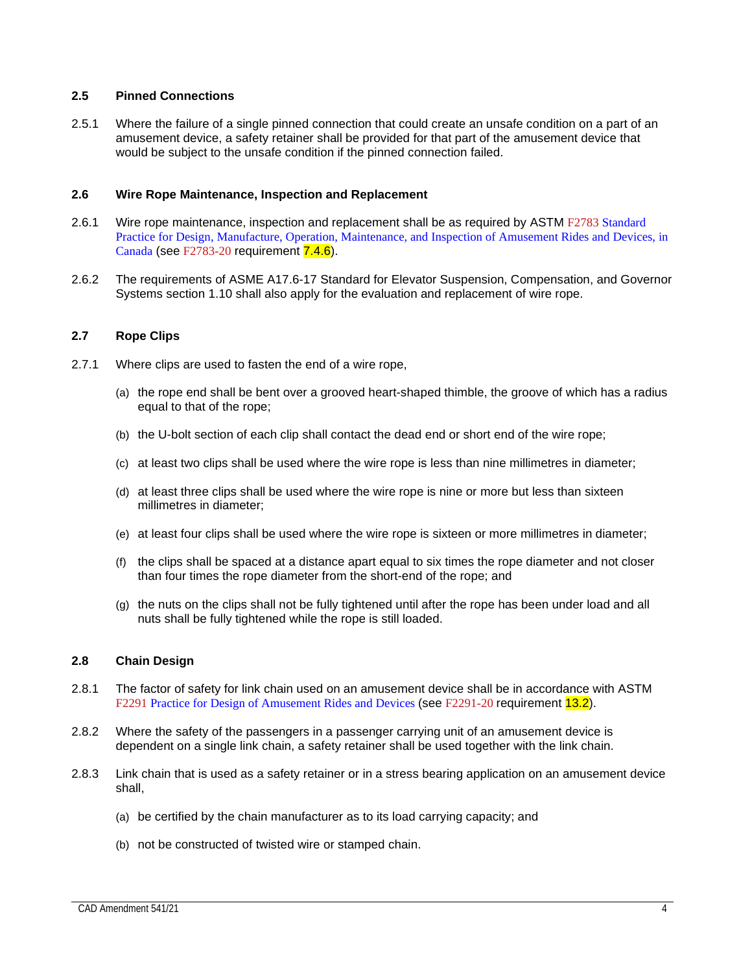# <span id="page-9-0"></span>**2.5 Pinned Connections**

2.5.1 Where the failure of a single pinned connection that could create an unsafe condition on a part of an amusement device, a safety retainer shall be provided for that part of the amusement device that would be subject to the unsafe condition if the pinned connection failed.

# <span id="page-9-1"></span>**2.6 Wire Rope Maintenance, Inspection and Replacement**

- 2.6.1 Wire rope maintenance, inspection and replacement shall be as required by ASTM F2783 Standard Practice for Design, Manufacture, Operation, Maintenance, and Inspection of Amusement Rides and Devices, in Canada (see F2783-20 requirement **7.4.6**).
- 2.6.2 The requirements of ASME A17.6-17 Standard for Elevator Suspension, Compensation, and Governor Systems section 1.10 shall also apply for the evaluation and replacement of wire rope.

# <span id="page-9-2"></span>**2.7 Rope Clips**

- 2.7.1 Where clips are used to fasten the end of a wire rope,
	- (a) the rope end shall be bent over a grooved heart-shaped thimble, the groove of which has a radius equal to that of the rope;
	- (b) the U-bolt section of each clip shall contact the dead end or short end of the wire rope;
	- (c) at least two clips shall be used where the wire rope is less than nine millimetres in diameter;
	- (d) at least three clips shall be used where the wire rope is nine or more but less than sixteen millimetres in diameter;
	- (e) at least four clips shall be used where the wire rope is sixteen or more millimetres in diameter;
	- (f) the clips shall be spaced at a distance apart equal to six times the rope diameter and not closer than four times the rope diameter from the short-end of the rope; and
	- (g) the nuts on the clips shall not be fully tightened until after the rope has been under load and all nuts shall be fully tightened while the rope is still loaded.

# <span id="page-9-3"></span>**2.8 Chain Design**

- 2.8.1 The factor of safety for link chain used on an amusement device shall be in accordance with ASTM F2291 Practice for Design of Amusement Rides and Devices (see F2291-20 requirement 13.2).
- 2.8.2 Where the safety of the passengers in a passenger carrying unit of an amusement device is dependent on a single link chain, a safety retainer shall be used together with the link chain.
- 2.8.3 Link chain that is used as a safety retainer or in a stress bearing application on an amusement device shall,
	- (a) be certified by the chain manufacturer as to its load carrying capacity; and
	- (b) not be constructed of twisted wire or stamped chain.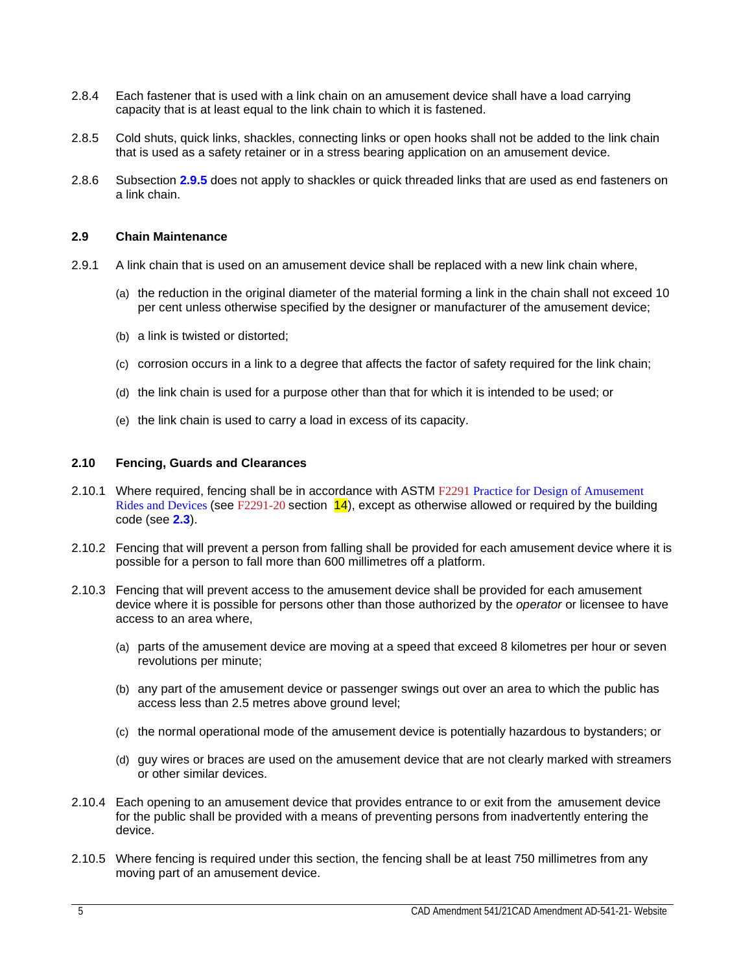- 2.8.4 Each fastener that is used with a link chain on an amusement device shall have a load carrying capacity that is at least equal to the link chain to which it is fastened.
- 2.8.5 Cold shuts, quick links, shackles, connecting links or open hooks shall not be added to the link chain that is used as a safety retainer or in a stress bearing application on an amusement device.
- 2.8.6 Subsection **2.9.5** does not apply to shackles or quick threaded links that are used as end fasteners on a link chain.

# <span id="page-10-0"></span>**2.9 Chain Maintenance**

- 2.9.1 A link chain that is used on an amusement device shall be replaced with a new link chain where,
	- (a) the reduction in the original diameter of the material forming a link in the chain shall not exceed 10 per cent unless otherwise specified by the designer or manufacturer of the amusement device;
	- (b) a link is twisted or distorted;
	- (c) corrosion occurs in a link to a degree that affects the factor of safety required for the link chain;
	- (d) the link chain is used for a purpose other than that for which it is intended to be used; or
	- (e) the link chain is used to carry a load in excess of its capacity.

# <span id="page-10-1"></span>**2.10 Fencing, Guards and Clearances**

- 2.10.1 Where required, fencing shall be in accordance with ASTM F2291 Practice for Design of Amusement Rides and Devices (see F2291-20 section  $14$ ), except as otherwise allowed or required by the building code (see **2.3**).
- 2.10.2 Fencing that will prevent a person from falling shall be provided for each amusement device where it is possible for a person to fall more than 600 millimetres off a platform.
- 2.10.3 Fencing that will prevent access to the amusement device shall be provided for each amusement device where it is possible for persons other than those authorized by the *operator* or licensee to have access to an area where,
	- (a) parts of the amusement device are moving at a speed that exceed 8 kilometres per hour or seven revolutions per minute;
	- (b) any part of the amusement device or passenger swings out over an area to which the public has access less than 2.5 metres above ground level;
	- (c) the normal operational mode of the amusement device is potentially hazardous to bystanders; or
	- (d) guy wires or braces are used on the amusement device that are not clearly marked with streamers or other similar devices.
- 2.10.4 Each opening to an amusement device that provides entrance to or exit from the amusement device for the public shall be provided with a means of preventing persons from inadvertently entering the device.
- 2.10.5 Where fencing is required under this section, the fencing shall be at least 750 millimetres from any moving part of an amusement device.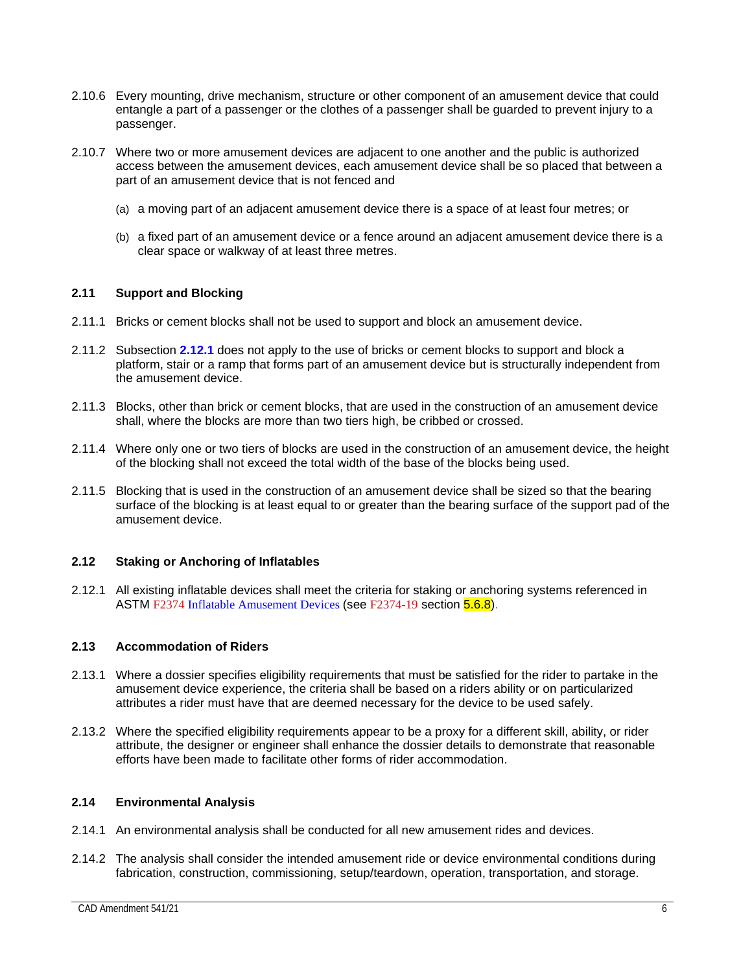- 2.10.6 Every mounting, drive mechanism, structure or other component of an amusement device that could entangle a part of a passenger or the clothes of a passenger shall be guarded to prevent injury to a passenger.
- 2.10.7 Where two or more amusement devices are adjacent to one another and the public is authorized access between the amusement devices, each amusement device shall be so placed that between a part of an amusement device that is not fenced and
	- (a) a moving part of an adjacent amusement device there is a space of at least four metres; or
	- (b) a fixed part of an amusement device or a fence around an adjacent amusement device there is a clear space or walkway of at least three metres.

# <span id="page-11-0"></span>**2.11 Support and Blocking**

- 2.11.1 Bricks or cement blocks shall not be used to support and block an amusement device.
- 2.11.2 Subsection **2.12.1** does not apply to the use of bricks or cement blocks to support and block a platform, stair or a ramp that forms part of an amusement device but is structurally independent from the amusement device.
- 2.11.3 Blocks, other than brick or cement blocks, that are used in the construction of an amusement device shall, where the blocks are more than two tiers high, be cribbed or crossed.
- 2.11.4 Where only one or two tiers of blocks are used in the construction of an amusement device, the height of the blocking shall not exceed the total width of the base of the blocks being used.
- 2.11.5 Blocking that is used in the construction of an amusement device shall be sized so that the bearing surface of the blocking is at least equal to or greater than the bearing surface of the support pad of the amusement device.

# <span id="page-11-1"></span>**2.12 Staking or Anchoring of Inflatables**

2.12.1 All existing inflatable devices shall meet the criteria for staking or anchoring systems referenced in ASTM F2374 Inflatable Amusement Devices (see F2374-19 section 5.6.8).

# <span id="page-11-2"></span>**2.13 Accommodation of Riders**

- 2.13.1 Where a dossier specifies eligibility requirements that must be satisfied for the rider to partake in the amusement device experience, the criteria shall be based on a riders ability or on particularized attributes a rider must have that are deemed necessary for the device to be used safely.
- 2.13.2 Where the specified eligibility requirements appear to be a proxy for a different skill, ability, or rider attribute, the designer or engineer shall enhance the dossier details to demonstrate that reasonable efforts have been made to facilitate other forms of rider accommodation.

# <span id="page-11-3"></span>**2.14 Environmental Analysis**

- 2.14.1 An environmental analysis shall be conducted for all new amusement rides and devices.
- 2.14.2 The analysis shall consider the intended amusement ride or device environmental conditions during fabrication, construction, commissioning, setup/teardown, operation, transportation, and storage.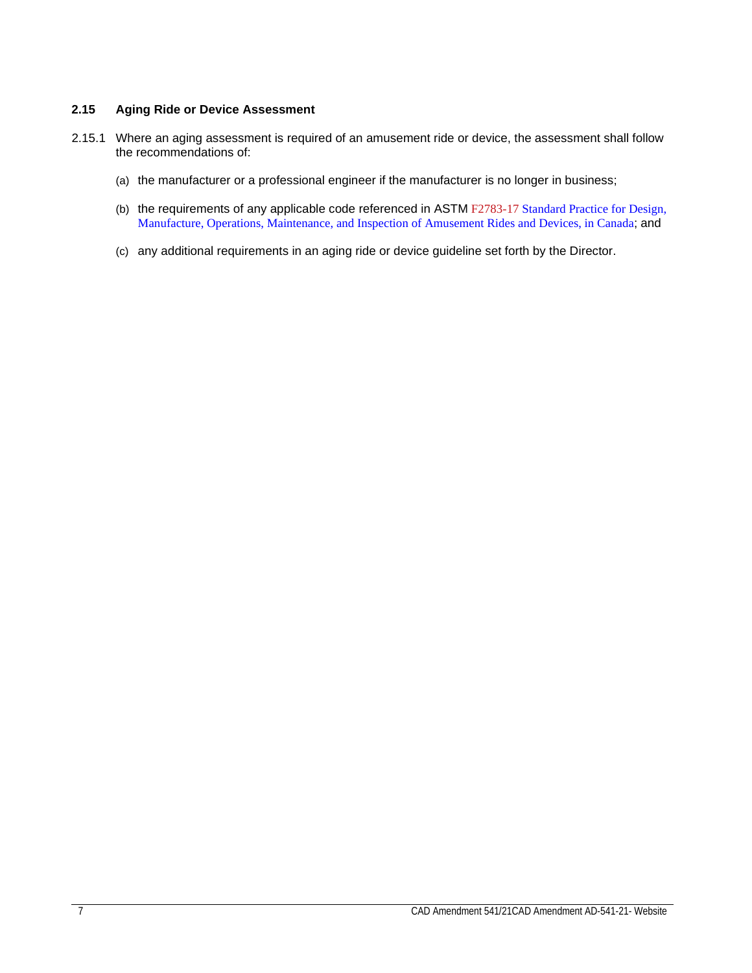# <span id="page-12-0"></span>**2.15 Aging Ride or Device Assessment**

- 2.15.1 Where an aging assessment is required of an amusement ride or device, the assessment shall follow the recommendations of:
	- (a) the manufacturer or a professional engineer if the manufacturer is no longer in business;
	- (b) the requirements of any applicable code referenced in ASTM F2783-17 Standard Practice for Design, Manufacture, Operations, Maintenance, and Inspection of Amusement Rides and Devices, in Canada; and
	- (c) any additional requirements in an aging ride or device guideline set forth by the Director.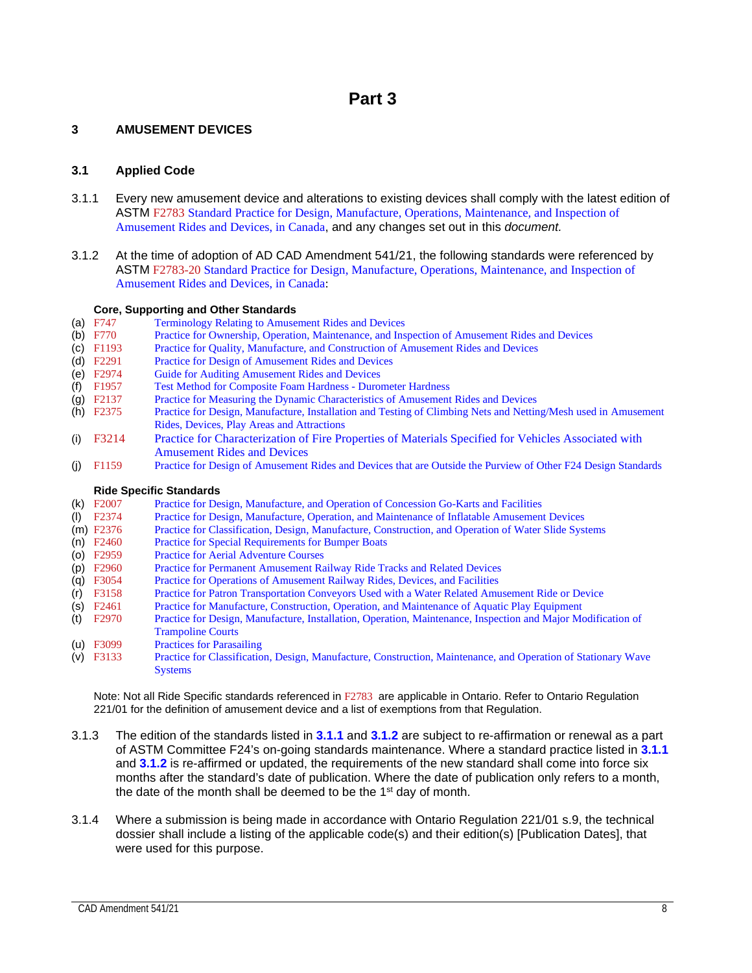# <span id="page-13-1"></span><span id="page-13-0"></span>**3 AMUSEMENT DEVICES**

# <span id="page-13-2"></span>**3.1 Applied Code**

- 3.1.1 Every new amusement device and alterations to existing devices shall comply with the latest edition of ASTM F2783 Standard Practice for Design, Manufacture, Operations, Maintenance, and Inspection of Amusement Rides and Devices, in Canada, and any changes set out in this *document.*
- 3.1.2 At the time of adoption of AD CAD Amendment 541/21, the following standards were referenced by ASTM F2783-20 Standard Practice for Design, Manufacture, Operations, Maintenance, and Inspection of Amusement Rides and Devices, in Canada:

# **Core, Supporting and Other Standards**<br>
(a) F747 **Terminology Relating to Amuse**

- (a) F747 Terminology Relating to Amusement Rides and Devices<br>
(b) F770 Practice for Ownership, Operation, Maintenance, and Ins
- (b) F770 Practice for Ownership, Operation, Maintenance, and Inspection of Amusement Rides and Devices<br>
(c) F1193 Practice for Ouality, Manufacture, and Construction of Amusement Rides and Devices
- (c) F1193 Practice for Quality, Manufacture, and Construction of Amusement Rides and Devices<br>
(d) F2291 Practice for Design of Amusement Rides and Devices
- 
- (d) F2291 Practice for Design of Amusement Rides and Devices<br>
(e) F2974 Guide for Auditing Amusement Rides and Devices
- (e) F2974 Guide for Auditing Amusement Rides and Devices<br>
(f) F1957 Test Method for Composite Foam Hardness Duror (f) F1957 Test Method for Composite Foam Hardness - Durometer Hardness<br>
(g) F2137 Practice for Measuring the Dynamic Characteristics of Amusement
- (g) F2137 Practice for Measuring the Dynamic Characteristics of Amusement Rides and Devices<br>
(h) F2375 Practice for Design, Manufacture, Installation and Testing of Climbing Nets and Nettin
- Practice for Design, Manufacture, Installation and Testing of Climbing Nets and Netting/Mesh used in Amusement Rides, Devices, Play Areas and Attractions
- (i) F3214 Practice for Characterization of Fire Properties of Materials Specified for Vehicles Associated with Amusement Rides and Devices
- (j) F1159 Practice for Design of Amusement Rides and Devices that are Outside the Purview of Other F24 Design Standards

# **Ride Specific Standards**<br>(k) F2007 Practice for De

- (k) F2007 Practice for Design, Manufacture, and Operation of Concession Go-Karts and Facilities<br>
(l) F2374 Practice for Design, Manufacture, Operation, and Maintenance of Inflatable Amusement
- (l) F2374 Practice for Design, Manufacture, Operation, and Maintenance of Inflatable Amusement Devices (m) F2376 Practice for Classification, Design, Manufacture, Construction, and Operation of Water Slide Syst
- (m) F2376 Practice for Classification, Design, Manufacture, Construction, and Operation of Water Slide Systems (n) F2460 Practice for Special Requirements for Bumper Boats
- (n) F2460 Practice for Special Requirements for Bumper Boats<br>
(o) F2959 Practice for Aerial Adventure Courses
- (o) F2959 Practice for Aerial Adventure Courses<br>
(p) F2960 Practice for Permanent Amusement Ra
- (p) F2960 Practice for Permanent Amusement Railway Ride Tracks and Related Devices
- Practice for Operations of Amusement Railway Rides, Devices, and Facilities
- (r) F3158 Practice for Patron Transportation Conveyors Used with a Water Related Amusement Ride or Device
- (s) F2461 Practice for Manufacture, Construction, Operation, and Maintenance of Aquatic Play Equipment
- (t) F2970 Practice for Design, Manufacture, Installation, Operation, Maintenance, Inspection and Major Modification of Trampoline Courts
- (u) F3099 Practices for Parasailing<br>
(v) F3133 Practice for Classificatio
- Practice for Classification, Design, Manufacture, Construction, Maintenance, and Operation of Stationary Wave **Systems**

Note: Not all Ride Specific standards referenced in F2783 are applicable in Ontario. Refer to Ontario Regulation 221/01 for the definition of amusement device and a list of exemptions from that Regulation.

- 3.1.3 The edition of the standards listed in **3.1.1** and **3.1.2** are subject to re-affirmation or renewal as a part of ASTM Committee F24's on-going standards maintenance. Where a standard practice listed in **3.1.1**  and **3.1.2** is re-affirmed or updated, the requirements of the new standard shall come into force six months after the standard's date of publication. Where the date of publication only refers to a month, the date of the month shall be deemed to be the 1<sup>st</sup> day of month.
- 3.1.4 Where a submission is being made in accordance with Ontario Regulation 221/01 s.9, the technical dossier shall include a listing of the applicable code(s) and their edition(s) [Publication Dates], that were used for this purpose.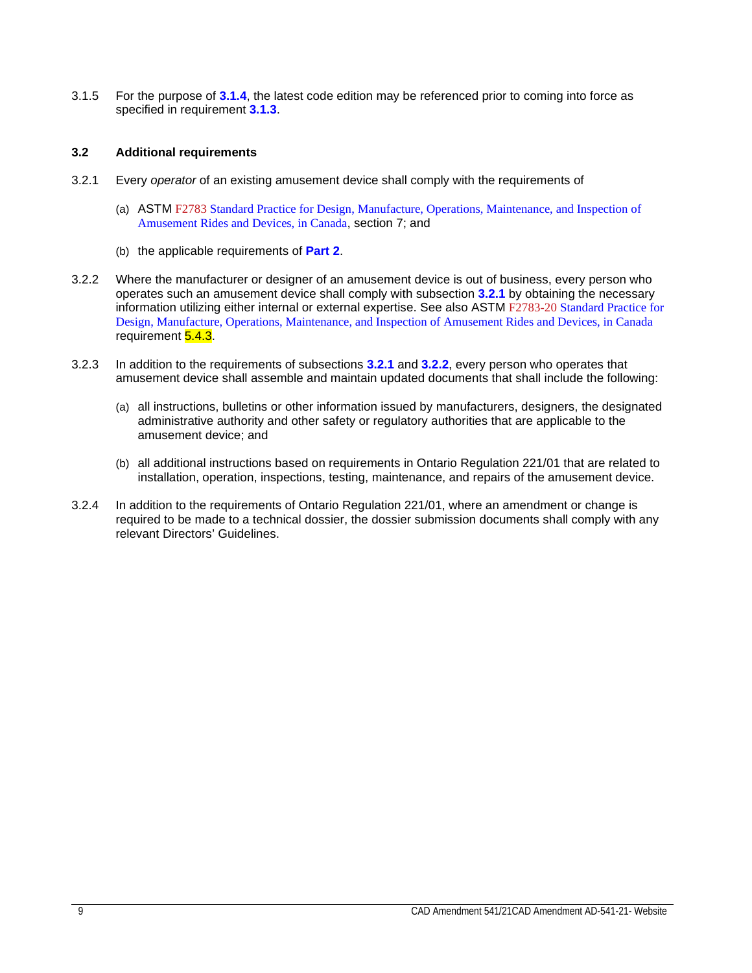3.1.5 For the purpose of **3.1.4**, the latest code edition may be referenced prior to coming into force as specified in requirement **3.1.3**.

# <span id="page-14-0"></span>**3.2 Additional requirements**

- 3.2.1 Every *operator* of an existing amusement device shall comply with the requirements of
	- (a) ASTM F2783 Standard Practice for Design, Manufacture, Operations, Maintenance, and Inspection of Amusement Rides and Devices, in Canada, section 7; and
	- (b) the applicable requirements of **Part 2**.
- 3.2.2 Where the manufacturer or designer of an amusement device is out of business, every person who operates such an amusement device shall comply with subsection **3.2.1** by obtaining the necessary information utilizing either internal or external expertise. See also ASTM F2783-20 Standard Practice for Design, Manufacture, Operations, Maintenance, and Inspection of Amusement Rides and Devices, in Canada requirement 5.4.3.
- 3.2.3 In addition to the requirements of subsections **3.2.1** and **3.2.2**, every person who operates that amusement device shall assemble and maintain updated documents that shall include the following:
	- (a) all instructions, bulletins or other information issued by manufacturers, designers, the designated administrative authority and other safety or regulatory authorities that are applicable to the amusement device; and
	- (b) all additional instructions based on requirements in Ontario Regulation 221/01 that are related to installation, operation, inspections, testing, maintenance, and repairs of the amusement device.
- 3.2.4 In addition to the requirements of Ontario Regulation 221/01, where an amendment or change is required to be made to a technical dossier, the dossier submission documents shall comply with any relevant Directors' Guidelines.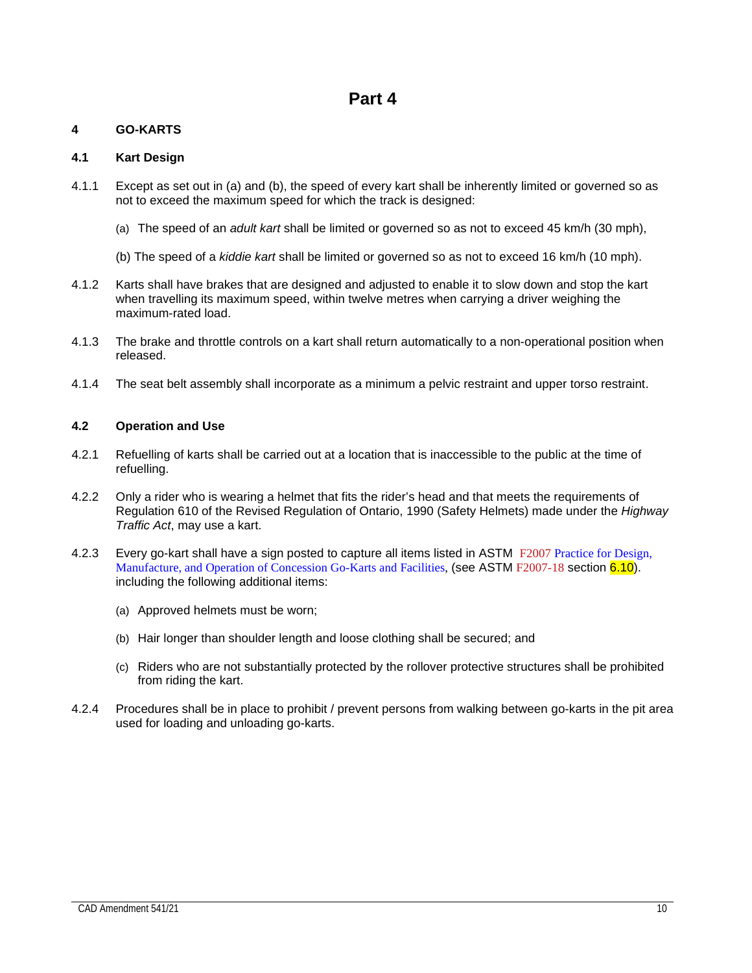# <span id="page-15-1"></span><span id="page-15-0"></span>**4 GO-KARTS**

# <span id="page-15-2"></span>**4.1 Kart Design**

- 4.1.1 Except as set out in (a) and (b), the speed of every kart shall be inherently limited or governed so as not to exceed the maximum speed for which the track is designed:
	- (a) The speed of an *adult kart* shall be limited or governed so as not to exceed 45 km/h (30 mph),
	- (b) The speed of a *kiddie kart* shall be limited or governed so as not to exceed 16 km/h (10 mph).
- 4.1.2 Karts shall have brakes that are designed and adjusted to enable it to slow down and stop the kart when travelling its maximum speed, within twelve metres when carrying a driver weighing the maximum-rated load.
- 4.1.3 The brake and throttle controls on a kart shall return automatically to a non-operational position when released.
- 4.1.4 The seat belt assembly shall incorporate as a minimum a pelvic restraint and upper torso restraint.

# <span id="page-15-3"></span>**4.2 Operation and Use**

- 4.2.1 Refuelling of karts shall be carried out at a location that is inaccessible to the public at the time of refuelling.
- 4.2.2 Only a rider who is wearing a helmet that fits the rider's head and that meets the requirements of Regulation 610 of the Revised Regulation of Ontario, 1990 (Safety Helmets) made under the *Highway Traffic Act*, may use a kart.
- 4.2.3 Every go-kart shall have a sign posted to capture all items listed in ASTM F2007 Practice for Design, Manufacture, and Operation of Concession Go-Karts and Facilities, (see ASTM F2007-18 section 6.10). including the following additional items:
	- (a) Approved helmets must be worn;
	- (b) Hair longer than shoulder length and loose clothing shall be secured; and
	- (c) Riders who are not substantially protected by the rollover protective structures shall be prohibited from riding the kart.
- 4.2.4 Procedures shall be in place to prohibit / prevent persons from walking between go-karts in the pit area used for loading and unloading go-karts.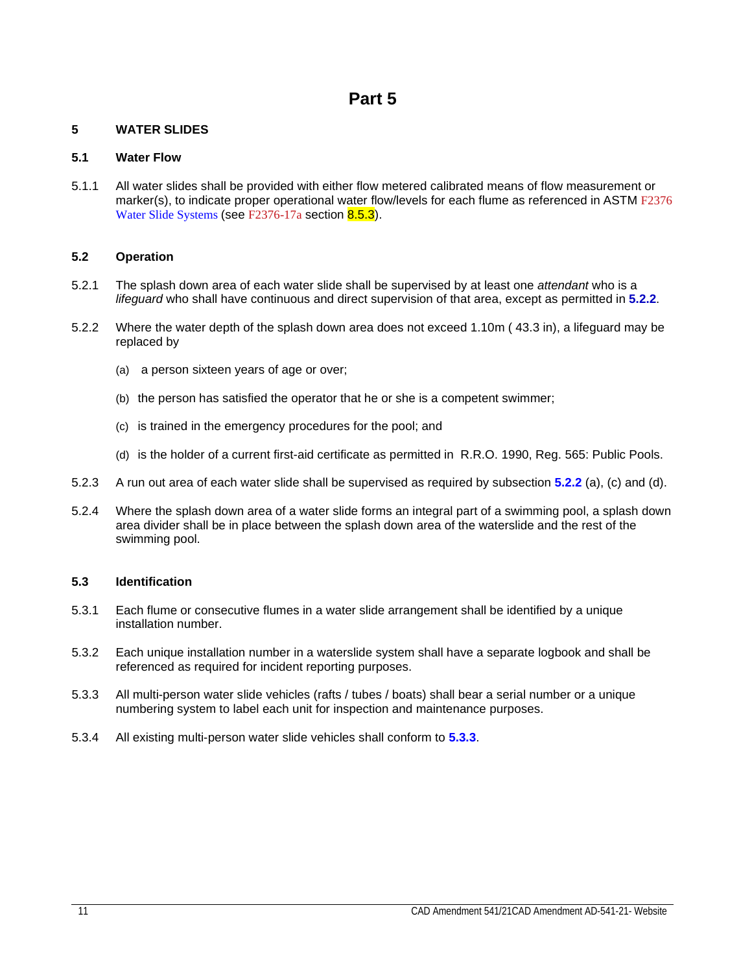# <span id="page-16-1"></span><span id="page-16-0"></span>**5 WATER SLIDES**

# <span id="page-16-2"></span>**5.1 Water Flow**

5.1.1 All water slides shall be provided with either flow metered calibrated means of flow measurement or marker(s), to indicate proper operational water flow/levels for each flume as referenced in ASTM F2376 Water Slide Systems (see F2376-17a section 8.5.3).

# <span id="page-16-3"></span>**5.2 Operation**

- 5.2.1 The splash down area of each water slide shall be supervised by at least one *attendant* who is a *lifeguard* who shall have continuous and direct supervision of that area, except as permitted in **5.2.2**.
- 5.2.2 Where the water depth of the splash down area does not exceed 1.10m ( 43.3 in), a lifeguard may be replaced by
	- (a) a person sixteen years of age or over;
	- (b) the person has satisfied the operator that he or she is a competent swimmer;
	- (c) is trained in the emergency procedures for the pool; and
	- (d) is the holder of a current first-aid certificate as permitted in R.R.O. 1990, Reg. 565: Public Pools.
- 5.2.3 A run out area of each water slide shall be supervised as required by subsection **5.2.2** (a), (c) and (d).
- 5.2.4 Where the splash down area of a water slide forms an integral part of a swimming pool, a splash down area divider shall be in place between the splash down area of the waterslide and the rest of the swimming pool.

# <span id="page-16-4"></span>**5.3 Identification**

- 5.3.1 Each flume or consecutive flumes in a water slide arrangement shall be identified by a unique installation number.
- 5.3.2 Each unique installation number in a waterslide system shall have a separate logbook and shall be referenced as required for incident reporting purposes.
- 5.3.3 All multi-person water slide vehicles (rafts / tubes / boats) shall bear a serial number or a unique numbering system to label each unit for inspection and maintenance purposes.
- 5.3.4 All existing multi-person water slide vehicles shall conform to **5.3.3**.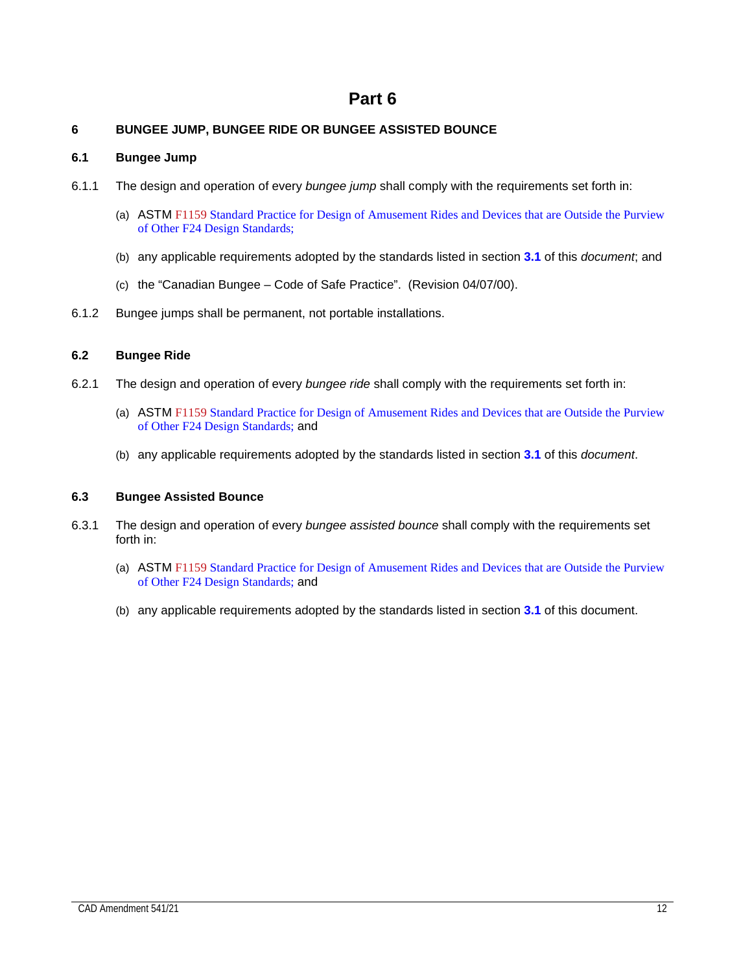# <span id="page-17-1"></span><span id="page-17-0"></span>**6 BUNGEE JUMP, BUNGEE RIDE OR BUNGEE ASSISTED BOUNCE**

# <span id="page-17-2"></span>**6.1 Bungee Jump**

- 6.1.1 The design and operation of every *bungee jump* shall comply with the requirements set forth in:
	- (a) ASTM F1159 Standard Practice for Design of Amusement Rides and Devices that are Outside the Purview of Other F24 Design Standards;
	- (b) any applicable requirements adopted by the standards listed in section **3.1** of this *document*; and
	- (c) the "Canadian Bungee Code of Safe Practice". (Revision 04/07/00).
- 6.1.2 Bungee jumps shall be permanent, not portable installations.

# <span id="page-17-3"></span>**6.2 Bungee Ride**

- 6.2.1 The design and operation of every *bungee ride* shall comply with the requirements set forth in:
	- (a) ASTM F1159 Standard Practice for Design of Amusement Rides and Devices that are Outside the Purview of Other F24 Design Standards; and
	- (b) any applicable requirements adopted by the standards listed in section **3.1** of this *document*.

# <span id="page-17-4"></span>**6.3 Bungee Assisted Bounce**

- 6.3.1 The design and operation of every *bungee assisted bounce* shall comply with the requirements set forth in:
	- (a) ASTM F1159 Standard Practice for Design of Amusement Rides and Devices that are Outside the Purview of Other F24 Design Standards; and
	- (b) any applicable requirements adopted by the standards listed in section **3.1** of this document.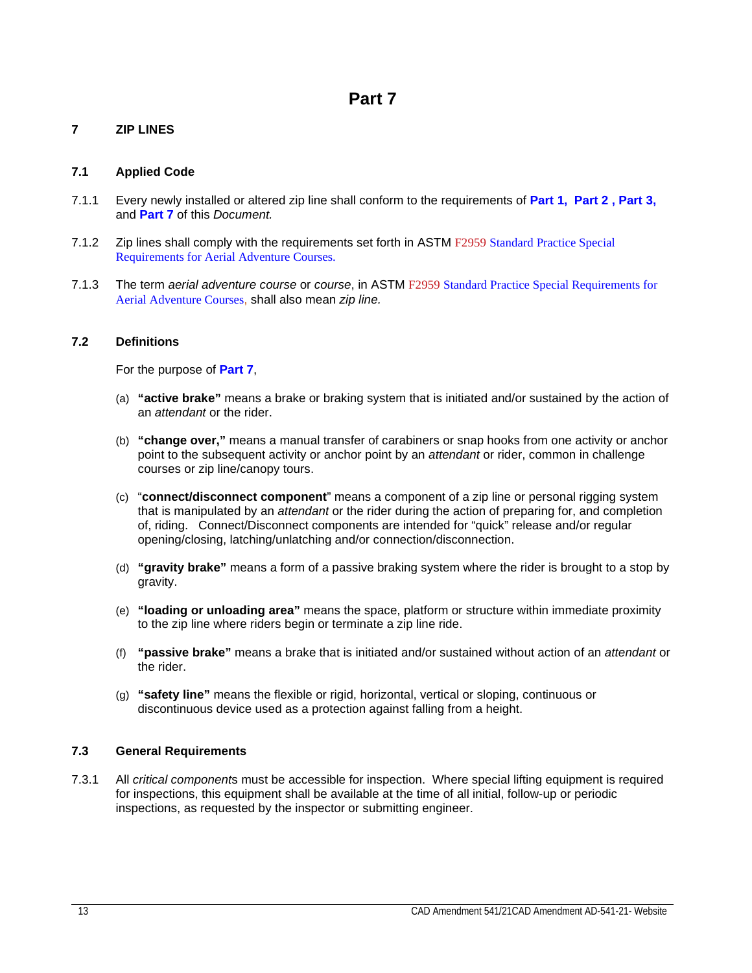# <span id="page-18-1"></span><span id="page-18-0"></span>**7 ZIP LINES**

# <span id="page-18-2"></span>**7.1 Applied Code**

- 7.1.1 Every newly installed or altered zip line shall conform to the requirements of **Part 1, Part 2 , Part 3,**  and **Part 7** of this *Document.*
- 7.1.2 Zip lines shall comply with the requirements set forth in ASTM F2959 Standard Practice Special Requirements for Aerial Adventure Courses.
- 7.1.3 The term *aerial adventure course* or *course*, in ASTM F2959 Standard Practice Special Requirements for Aerial Adventure Courses, shall also mean *zip line.*

# <span id="page-18-3"></span>**7.2 Definitions**

For the purpose of **Part 7**,

- (a) **"active brake"** means a brake or braking system that is initiated and/or sustained by the action of an *attendant* or the rider.
- (b) **"change over,"** means a manual transfer of carabiners or snap hooks from one activity or anchor point to the subsequent activity or anchor point by an *attendant* or rider, common in challenge courses or zip line/canopy tours.
- (c) "**connect/disconnect component**" means a component of a zip line or personal rigging system that is manipulated by an *attendant* or the rider during the action of preparing for, and completion of, riding. Connect/Disconnect components are intended for "quick" release and/or regular opening/closing, latching/unlatching and/or connection/disconnection.
- (d) **"gravity brake"** means a form of a passive braking system where the rider is brought to a stop by gravity.
- (e) **"loading or unloading area"** means the space, platform or structure within immediate proximity to the zip line where riders begin or terminate a zip line ride.
- (f) **"passive brake"** means a brake that is initiated and/or sustained without action of an *attendant* or the rider.
- (g) **"safety line"** means the flexible or rigid, horizontal, vertical or sloping, continuous or discontinuous device used as a protection against falling from a height.

# <span id="page-18-4"></span>**7.3 General Requirements**

7.3.1 All *critical component*s must be accessible for inspection. Where special lifting equipment is required for inspections, this equipment shall be available at the time of all initial, follow-up or periodic inspections, as requested by the inspector or submitting engineer.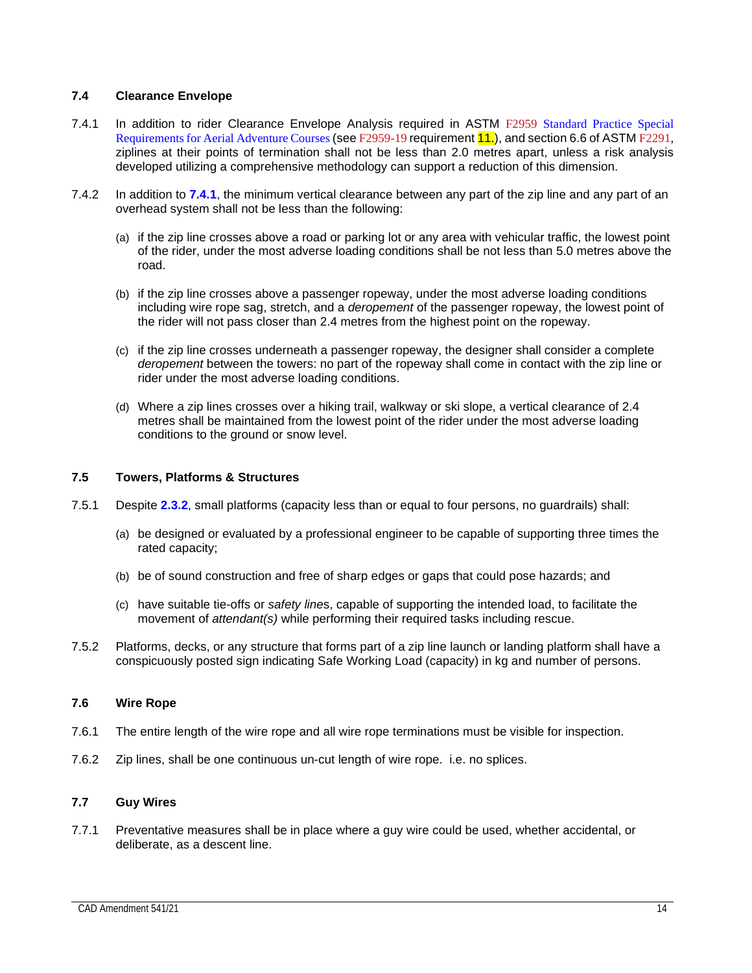# <span id="page-19-0"></span>**7.4 Clearance Envelope**

- 7.4.1 In addition to rider Clearance Envelope Analysis required in ASTM F2959 Standard Practice Special Requirements for Aerial Adventure Courses (see F2959-19 requirement 11.), and section 6.6 of ASTM F2291, ziplines at their points of termination shall not be less than 2.0 metres apart, unless a risk analysis developed utilizing a comprehensive methodology can support a reduction of this dimension.
- 7.4.2 In addition to **7.4.1**, the minimum vertical clearance between any part of the zip line and any part of an overhead system shall not be less than the following:
	- (a) if the zip line crosses above a road or parking lot or any area with vehicular traffic, the lowest point of the rider, under the most adverse loading conditions shall be not less than 5.0 metres above the road.
	- (b) if the zip line crosses above a passenger ropeway, under the most adverse loading conditions including wire rope sag, stretch, and a *deropement* of the passenger ropeway, the lowest point of the rider will not pass closer than 2.4 metres from the highest point on the ropeway.
	- (c) if the zip line crosses underneath a passenger ropeway, the designer shall consider a complete *deropement* between the towers: no part of the ropeway shall come in contact with the zip line or rider under the most adverse loading conditions.
	- (d) Where a zip lines crosses over a hiking trail, walkway or ski slope, a vertical clearance of 2.4 metres shall be maintained from the lowest point of the rider under the most adverse loading conditions to the ground or snow level.

# <span id="page-19-1"></span>**7.5 Towers, Platforms & Structures**

- 7.5.1 Despite **2.3.2**, small platforms (capacity less than or equal to four persons, no guardrails) shall:
	- (a) be designed or evaluated by a professional engineer to be capable of supporting three times the rated capacity;
	- (b) be of sound construction and free of sharp edges or gaps that could pose hazards; and
	- (c) have suitable tie-offs or *safety line*s, capable of supporting the intended load, to facilitate the movement of *attendant(s)* while performing their required tasks including rescue.
- 7.5.2 Platforms, decks, or any structure that forms part of a zip line launch or landing platform shall have a conspicuously posted sign indicating Safe Working Load (capacity) in kg and number of persons.

# **7.6 Wire Rope**

- 7.6.1 The entire length of the wire rope and all wire rope terminations must be visible for inspection.
- 7.6.2 Zip lines, shall be one continuous un-cut length of wire rope. i.e. no splices.

# **7.7 Guy Wires**

7.7.1 Preventative measures shall be in place where a guy wire could be used, whether accidental, or deliberate, as a descent line.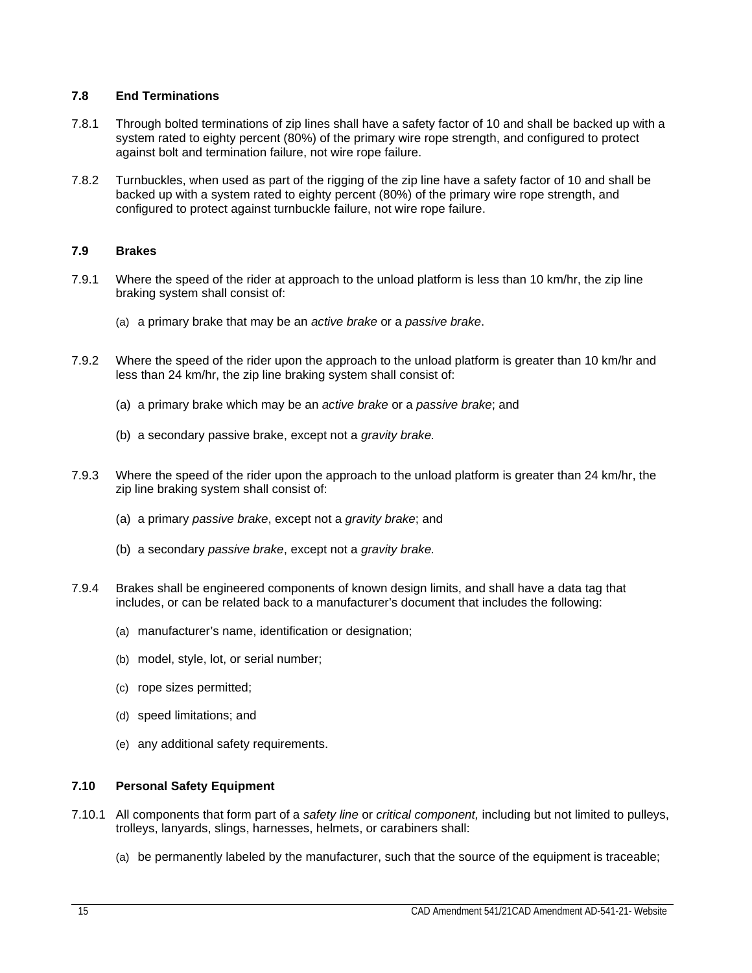# **7.8 End Terminations**

- 7.8.1 Through bolted terminations of zip lines shall have a safety factor of 10 and shall be backed up with a system rated to eighty percent (80%) of the primary wire rope strength, and configured to protect against bolt and termination failure, not wire rope failure.
- 7.8.2 Turnbuckles, when used as part of the rigging of the zip line have a safety factor of 10 and shall be backed up with a system rated to eighty percent (80%) of the primary wire rope strength, and configured to protect against turnbuckle failure, not wire rope failure.

# <span id="page-20-0"></span>**7.9 Brakes**

- 7.9.1 Where the speed of the rider at approach to the unload platform is less than 10 km/hr, the zip line braking system shall consist of:
	- (a) a primary brake that may be an *active brake* or a *passive brake*.
- 7.9.2 Where the speed of the rider upon the approach to the unload platform is greater than 10 km/hr and less than 24 km/hr, the zip line braking system shall consist of:
	- (a) a primary brake which may be an *active brake* or a *passive brake*; and
	- (b) a secondary passive brake, except not a *gravity brake.*
- 7.9.3 Where the speed of the rider upon the approach to the unload platform is greater than 24 km/hr, the zip line braking system shall consist of:
	- (a) a primary *passive brake*, except not a *gravity brake*; and
	- (b) a secondary *passive brake*, except not a *gravity brake.*
- 7.9.4 Brakes shall be engineered components of known design limits, and shall have a data tag that includes, or can be related back to a manufacturer's document that includes the following:
	- (a) manufacturer's name, identification or designation;
	- (b) model, style, lot, or serial number;
	- (c) rope sizes permitted;
	- (d) speed limitations; and
	- (e) any additional safety requirements.

# <span id="page-20-1"></span>**7.10 Personal Safety Equipment**

- 7.10.1 All components that form part of a *safety line* or *critical component,* including but not limited to pulleys, trolleys, lanyards, slings, harnesses, helmets, or carabiners shall:
	- (a) be permanently labeled by the manufacturer, such that the source of the equipment is traceable;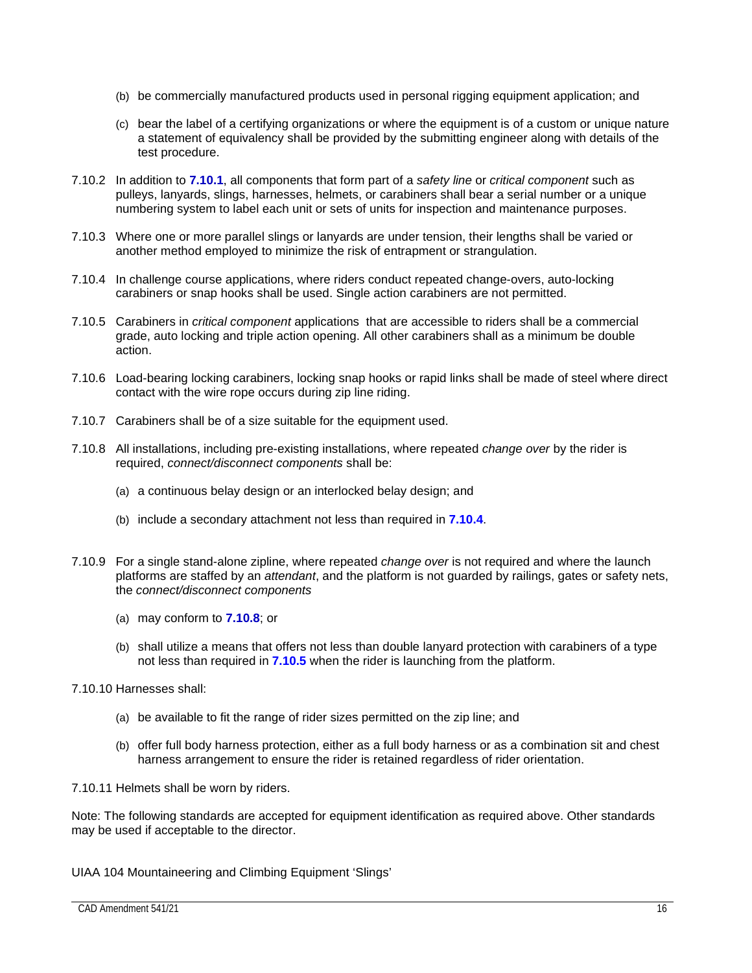- (b) be commercially manufactured products used in personal rigging equipment application; and
- (c) bear the label of a certifying organizations or where the equipment is of a custom or unique nature a statement of equivalency shall be provided by the submitting engineer along with details of the test procedure.
- 7.10.2 In addition to **7.10.1**, all components that form part of a *safety line* or *critical component* such as pulleys, lanyards, slings, harnesses, helmets, or carabiners shall bear a serial number or a unique numbering system to label each unit or sets of units for inspection and maintenance purposes.
- 7.10.3 Where one or more parallel slings or lanyards are under tension, their lengths shall be varied or another method employed to minimize the risk of entrapment or strangulation.
- 7.10.4 In challenge course applications, where riders conduct repeated change-overs, auto-locking carabiners or snap hooks shall be used. Single action carabiners are not permitted.
- 7.10.5 Carabiners in *critical component* applications that are accessible to riders shall be a commercial grade, auto locking and triple action opening. All other carabiners shall as a minimum be double action.
- 7.10.6 Load-bearing locking carabiners, locking snap hooks or rapid links shall be made of steel where direct contact with the wire rope occurs during zip line riding.
- 7.10.7 Carabiners shall be of a size suitable for the equipment used.
- 7.10.8 All installations, including pre-existing installations, where repeated *change over* by the rider is required, *connect/disconnect components* shall be:
	- (a) a continuous belay design or an interlocked belay design; and
	- (b) include a secondary attachment not less than required in **7.10.4**.
- 7.10.9 For a single stand-alone zipline, where repeated *change over* is not required and where the launch platforms are staffed by an *attendant*, and the platform is not guarded by railings, gates or safety nets, the *connect/disconnect components*
	- (a) may conform to **7.10.8**; or
	- (b) shall utilize a means that offers not less than double lanyard protection with carabiners of a type not less than required in **7.10.5** when the rider is launching from the platform.
- 7.10.10 Harnesses shall:
	- (a) be available to fit the range of rider sizes permitted on the zip line; and
	- (b) offer full body harness protection, either as a full body harness or as a combination sit and chest harness arrangement to ensure the rider is retained regardless of rider orientation.

7.10.11 Helmets shall be worn by riders.

Note: The following standards are accepted for equipment identification as required above. Other standards may be used if acceptable to the director.

UIAA 104 Mountaineering and Climbing Equipment 'Slings'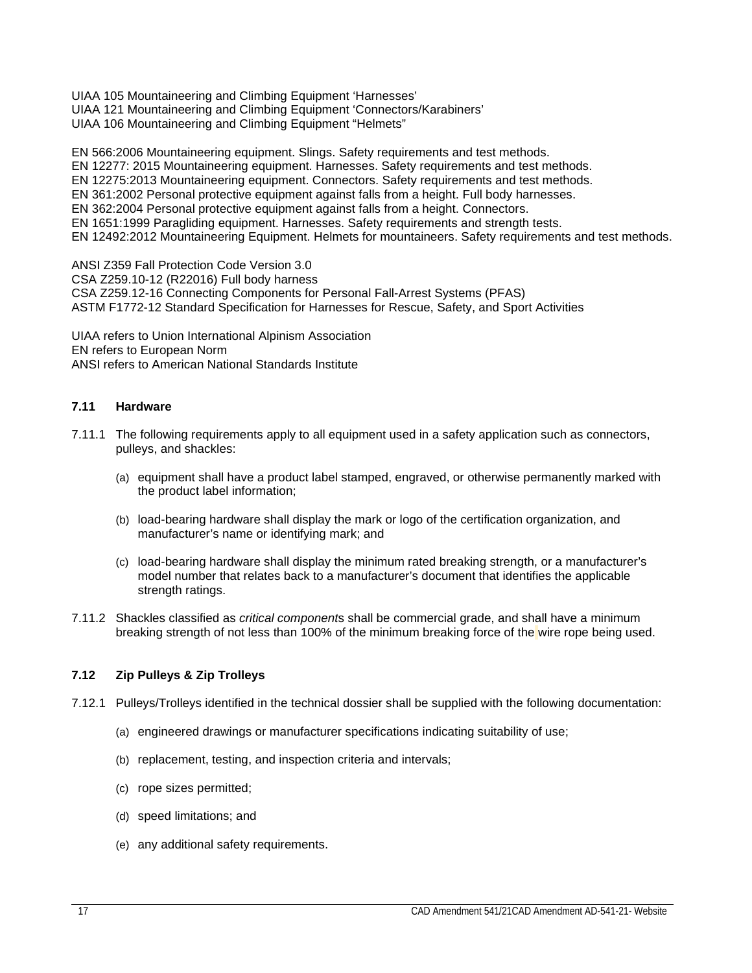UIAA 105 Mountaineering and Climbing Equipment 'Harnesses' UIAA 121 Mountaineering and Climbing Equipment 'Connectors/Karabiners' UIAA 106 Mountaineering and Climbing Equipment "Helmets"

EN 566:2006 Mountaineering equipment. Slings. Safety requirements and test methods. EN 12277: 2015 Mountaineering equipment. Harnesses. Safety requirements and test methods. EN 12275:2013 Mountaineering equipment. Connectors. Safety requirements and test methods. EN 361:2002 Personal protective equipment against falls from a height. Full body harnesses. EN 362:2004 Personal protective equipment against falls from a height. Connectors. EN 1651:1999 Paragliding equipment. Harnesses. Safety requirements and strength tests. EN 12492:2012 Mountaineering Equipment. Helmets for mountaineers. Safety requirements and test methods.

ANSI Z359 Fall Protection Code Version 3.0 CSA Z259.10-12 (R22016) Full body harness CSA Z259.12-16 Connecting Components for Personal Fall-Arrest Systems (PFAS) ASTM F1772-12 Standard Specification for Harnesses for Rescue, Safety, and Sport Activities

UIAA refers to Union International Alpinism Association EN refers to European Norm ANSI refers to American National Standards Institute

# <span id="page-22-0"></span>**7.11 Hardware**

- 7.11.1 The following requirements apply to all equipment used in a safety application such as connectors, pulleys, and shackles:
	- (a) equipment shall have a product label stamped, engraved, or otherwise permanently marked with the product label information;
	- (b) load-bearing hardware shall display the mark or logo of the certification organization, and manufacturer's name or identifying mark; and
	- (c) load-bearing hardware shall display the minimum rated breaking strength, or a manufacturer's model number that relates back to a manufacturer's document that identifies the applicable strength ratings.
- 7.11.2 Shackles classified as *critical component*s shall be commercial grade, and shall have a minimum breaking strength of not less than 100% of the minimum breaking force of the wire rope being used.

# <span id="page-22-1"></span>**7.12 Zip Pulleys & Zip Trolleys**

- 7.12.1 Pulleys/Trolleys identified in the technical dossier shall be supplied with the following documentation:
	- (a) engineered drawings or manufacturer specifications indicating suitability of use;
	- (b) replacement, testing, and inspection criteria and intervals;
	- (c) rope sizes permitted;
	- (d) speed limitations; and
	- (e) any additional safety requirements.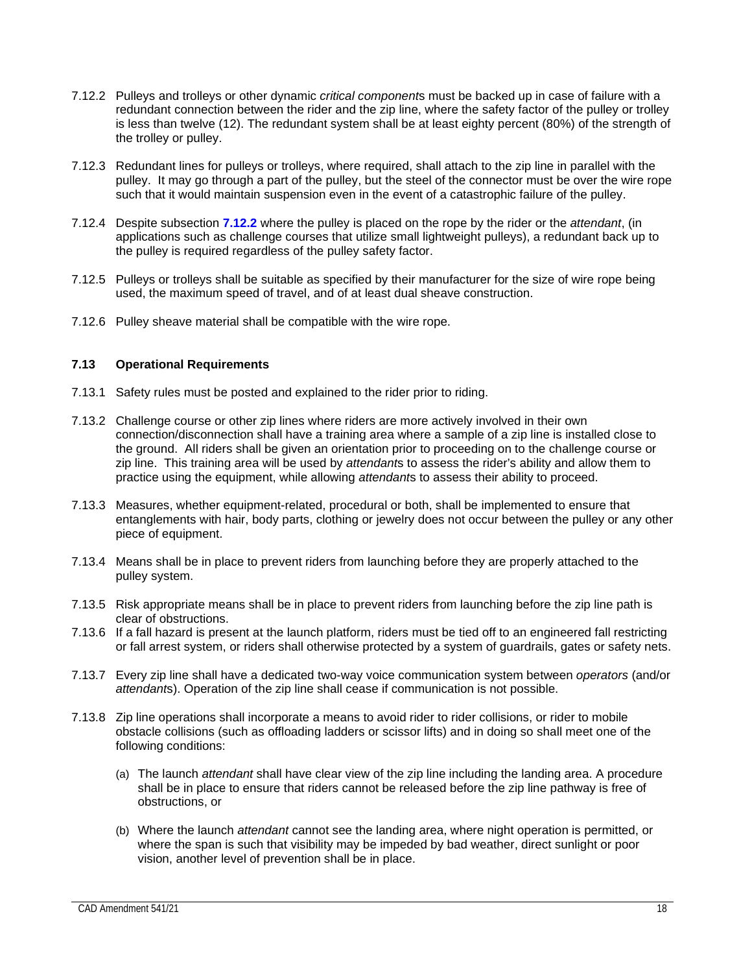- 7.12.2 Pulleys and trolleys or other dynamic *critical component*s must be backed up in case of failure with a redundant connection between the rider and the zip line, where the safety factor of the pulley or trolley is less than twelve (12). The redundant system shall be at least eighty percent (80%) of the strength of the trolley or pulley.
- 7.12.3 Redundant lines for pulleys or trolleys, where required, shall attach to the zip line in parallel with the pulley. It may go through a part of the pulley, but the steel of the connector must be over the wire rope such that it would maintain suspension even in the event of a catastrophic failure of the pulley.
- 7.12.4 Despite subsection **7.12.2** where the pulley is placed on the rope by the rider or the *attendant*, (in applications such as challenge courses that utilize small lightweight pulleys), a redundant back up to the pulley is required regardless of the pulley safety factor.
- 7.12.5 Pulleys or trolleys shall be suitable as specified by their manufacturer for the size of wire rope being used, the maximum speed of travel, and of at least dual sheave construction.
- 7.12.6 Pulley sheave material shall be compatible with the wire rope.

# <span id="page-23-0"></span>**7.13 Operational Requirements**

- 7.13.1 Safety rules must be posted and explained to the rider prior to riding.
- 7.13.2 Challenge course or other zip lines where riders are more actively involved in their own connection/disconnection shall have a training area where a sample of a zip line is installed close to the ground. All riders shall be given an orientation prior to proceeding on to the challenge course or zip line. This training area will be used by *attendant*s to assess the rider's ability and allow them to practice using the equipment, while allowing *attendant*s to assess their ability to proceed.
- 7.13.3 Measures, whether equipment-related, procedural or both, shall be implemented to ensure that entanglements with hair, body parts, clothing or jewelry does not occur between the pulley or any other piece of equipment.
- 7.13.4 Means shall be in place to prevent riders from launching before they are properly attached to the pulley system.
- 7.13.5 Risk appropriate means shall be in place to prevent riders from launching before the zip line path is clear of obstructions.
- 7.13.6 If a fall hazard is present at the launch platform, riders must be tied off to an engineered fall restricting or fall arrest system, or riders shall otherwise protected by a system of guardrails, gates or safety nets.
- 7.13.7 Every zip line shall have a dedicated two-way voice communication system between *operators* (and/or *attendant*s). Operation of the zip line shall cease if communication is not possible.
- 7.13.8 Zip line operations shall incorporate a means to avoid rider to rider collisions, or rider to mobile obstacle collisions (such as offloading ladders or scissor lifts) and in doing so shall meet one of the following conditions:
	- (a) The launch *attendant* shall have clear view of the zip line including the landing area. A procedure shall be in place to ensure that riders cannot be released before the zip line pathway is free of obstructions, or
	- (b) Where the launch *attendant* cannot see the landing area, where night operation is permitted, or where the span is such that visibility may be impeded by bad weather, direct sunlight or poor vision, another level of prevention shall be in place.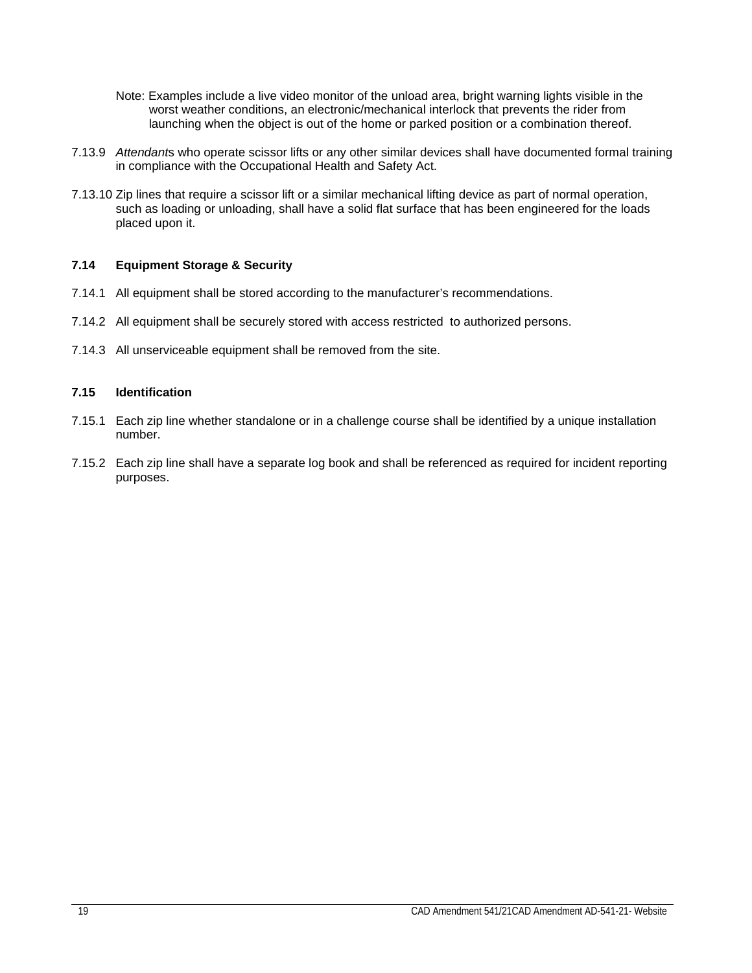- Note: Examples include a live video monitor of the unload area, bright warning lights visible in the worst weather conditions, an electronic/mechanical interlock that prevents the rider from launching when the object is out of the home or parked position or a combination thereof.
- 7.13.9 *Attendant*s who operate scissor lifts or any other similar devices shall have documented formal training in compliance with the Occupational Health and Safety Act.
- 7.13.10 Zip lines that require a scissor lift or a similar mechanical lifting device as part of normal operation, such as loading or unloading, shall have a solid flat surface that has been engineered for the loads placed upon it.

# <span id="page-24-0"></span>**7.14 Equipment Storage & Security**

- 7.14.1 All equipment shall be stored according to the manufacturer's recommendations.
- 7.14.2 All equipment shall be securely stored with access restricted to authorized persons.
- 7.14.3 All unserviceable equipment shall be removed from the site.

# <span id="page-24-1"></span>**7.15 Identification**

- 7.15.1 Each zip line whether standalone or in a challenge course shall be identified by a unique installation number.
- 7.15.2 Each zip line shall have a separate log book and shall be referenced as required for incident reporting purposes.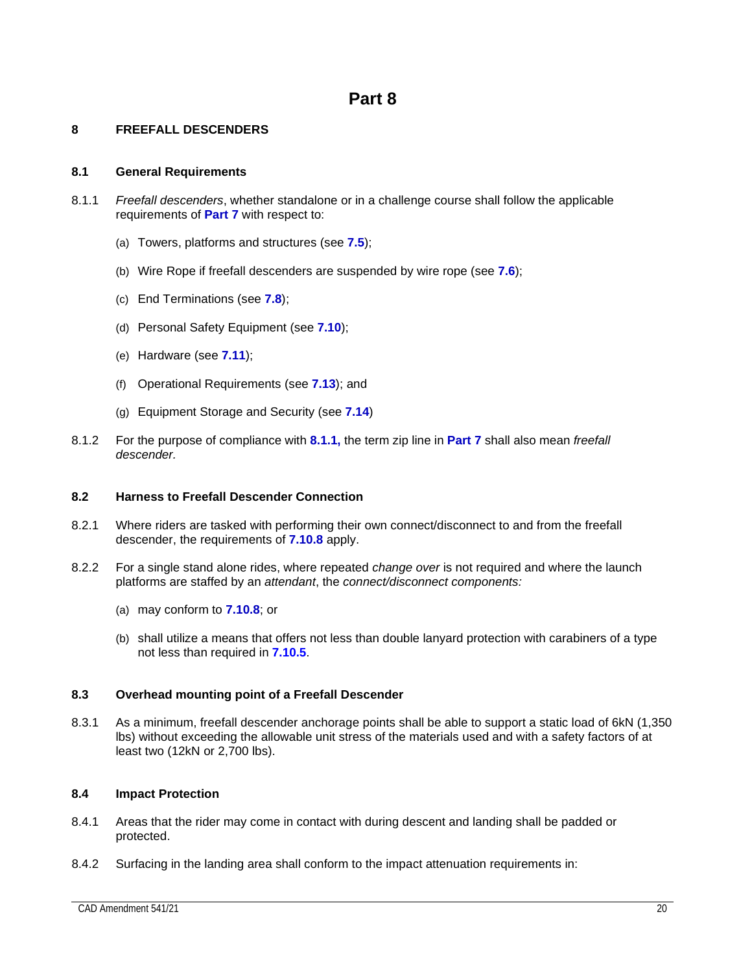# <span id="page-25-1"></span><span id="page-25-0"></span>**8 FREEFALL DESCENDERS**

# <span id="page-25-2"></span>**8.1 General Requirements**

- 8.1.1 *Freefall descenders*, whether standalone or in a challenge course shall follow the applicable requirements of **Part 7** with respect to:
	- (a) Towers, platforms and structures (see **7.5**);
	- (b) Wire Rope if freefall descenders are suspended by wire rope (see **7.6**);
	- (c) End Terminations (see **7.8**);
	- (d) Personal Safety Equipment (see **7.10**);
	- (e) Hardware (see **7.11**);
	- (f) Operational Requirements (see **7.13**); and
	- (g) Equipment Storage and Security (see **7.14**)
- 8.1.2 For the purpose of compliance with **8.1.1,** the term zip line in **Part 7** shall also mean *freefall descender.*

# <span id="page-25-3"></span>**8.2 Harness to Freefall Descender Connection**

- 8.2.1 Where riders are tasked with performing their own connect/disconnect to and from the freefall descender, the requirements of **7.10.8** apply.
- 8.2.2 For a single stand alone rides, where repeated *change over* is not required and where the launch platforms are staffed by an *attendant*, the *connect/disconnect components:*
	- (a) may conform to **7.10.8**; or
	- (b) shall utilize a means that offers not less than double lanyard protection with carabiners of a type not less than required in **7.10.5**.

# <span id="page-25-4"></span>**8.3 Overhead mounting point of a Freefall Descender**

8.3.1 As a minimum, freefall descender anchorage points shall be able to support a static load of 6kN (1,350 lbs) without exceeding the allowable unit stress of the materials used and with a safety factors of at least two (12kN or 2,700 lbs).

# <span id="page-25-5"></span>**8.4 Impact Protection**

- 8.4.1 Areas that the rider may come in contact with during descent and landing shall be padded or protected.
- 8.4.2 Surfacing in the landing area shall conform to the impact attenuation requirements in: